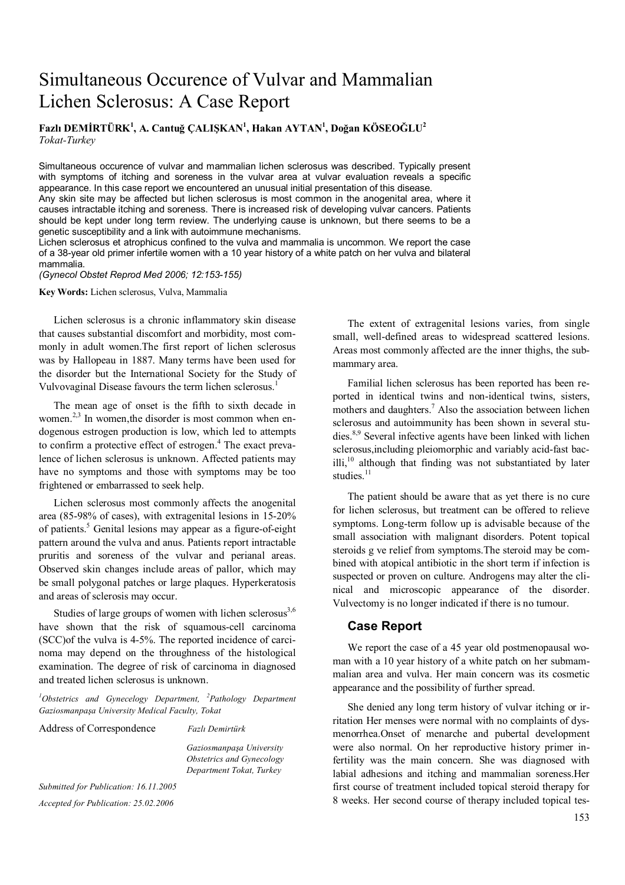# Simultaneous Occurence of Vulvar and Mammalian Lichen Sclerosus: A Case Report

**Fazlı DEMİRTÜRK<sup>1</sup> , A. Cantuğ ÇALIŞKAN1 , Hakan AYTAN1 , Doğan KÖSEOĞLU2** *Tokat-Turkey* 

Simultaneous occurence of vulvar and mammalian lichen sclerosus was described. Typically present with symptoms of itching and soreness in the vulvar area at vulvar evaluation reveals a specific appearance. In this case report we encountered an unusual initial presentation of this disease. Any skin site may be affected but lichen sclerosus is most common in the anogenital area, where it causes intractable itching and soreness. There is increased risk of developing vulvar cancers. Patients should be kept under long term review. The underlying cause is unknown, but there seems to be a genetic susceptibility and a link with autoimmune mechanisms.

Lichen sclerosus et atrophicus confined to the vulva and mammalia is uncommon. We report the case of a 38-year old primer infertile women with a 10 year history of a white patch on her vulva and bilateral mammalia.

#### *(Gynecol Obstet Reprod Med 2006; 12:153-155)*

**Key Words:** Lichen sclerosus, Vulva, Mammalia

Lichen sclerosus is a chronic inflammatory skin disease that causes substantial discomfort and morbidity, most commonly in adult women.The first report of lichen sclerosus was by Hallopeau in 1887. Many terms have been used for the disorder but the International Society for the Study of Vulvovaginal Disease favours the term lichen sclerosus.<sup>1</sup>

The mean age of onset is the fifth to sixth decade in women.<sup>2,3</sup> In women, the disorder is most common when endogenous estrogen production is low, which led to attempts to confirm a protective effect of estrogen.<sup>4</sup> The exact prevalence of lichen sclerosus is unknown. Affected patients may have no symptoms and those with symptoms may be too frightened or embarrassed to seek help.

Lichen sclerosus most commonly affects the anogenital area (85-98% of cases), with extragenital lesions in 15-20% of patients.<sup>5</sup> Genital lesions may appear as a figure-of-eight pattern around the vulva and anus. Patients report intractable pruritis and soreness of the vulvar and perianal areas. Observed skin changes include areas of pallor, which may be small polygonal patches or large plaques. Hyperkeratosis and areas of sclerosis may occur.

Studies of large groups of women with lichen sclerosus $3,6$ have shown that the risk of squamous-cell carcinoma (SCC)of the vulva is 4-5%. The reported incidence of carcinoma may depend on the throughness of the histological examination. The degree of risk of carcinoma in diagnosed and treated lichen sclerosus is unknown.

<sup>1</sup>Obstetrics and Gynecelogy Department, <sup>2</sup>Pathology Department *Gaziosmanpaşa University Medical Faculty, Tokat* 

Address of Correspondence *Fazlı Demirtürk* 

*Gaziosmanpaşa University Obstetrics and Gynecology Department Tokat, Turkey*

*Submitted for Publication: 16.11.2005 Accepted for Publication: 25.02.2006* 

The extent of extragenital lesions varies, from single small, well-defined areas to widespread scattered lesions. Areas most commonly affected are the inner thighs, the submammary area.

Familial lichen sclerosus has been reported has been reported in identical twins and non-identical twins, sisters, mothers and daughters.<sup>7</sup> Also the association between lichen sclerosus and autoimmunity has been shown in several studies.8,9 Several infective agents have been linked with lichen sclerosus,including pleiomorphic and variably acid-fast bac $i$ lli, $i<sup>10</sup>$  although that finding was not substantiated by later studies $11$ 

The patient should be aware that as yet there is no cure for lichen sclerosus, but treatment can be offered to relieve symptoms. Long-term follow up is advisable because of the small association with malignant disorders. Potent topical steroids g ve relief from symptoms.The steroid may be combined with atopical antibiotic in the short term if infection is suspected or proven on culture. Androgens may alter the clinical and microscopic appearance of the disorder. Vulvectomy is no longer indicated if there is no tumour.

# **Case Report**

We report the case of a 45 year old postmenopausal woman with a 10 year history of a white patch on her submammalian area and vulva. Her main concern was its cosmetic appearance and the possibility of further spread.

She denied any long term history of vulvar itching or irritation Her menses were normal with no complaints of dysmenorrhea.Onset of menarche and pubertal development were also normal. On her reproductive history primer infertility was the main concern. She was diagnosed with labial adhesions and itching and mammalian soreness.Her first course of treatment included topical steroid therapy for 8 weeks. Her second course of therapy included topical tes-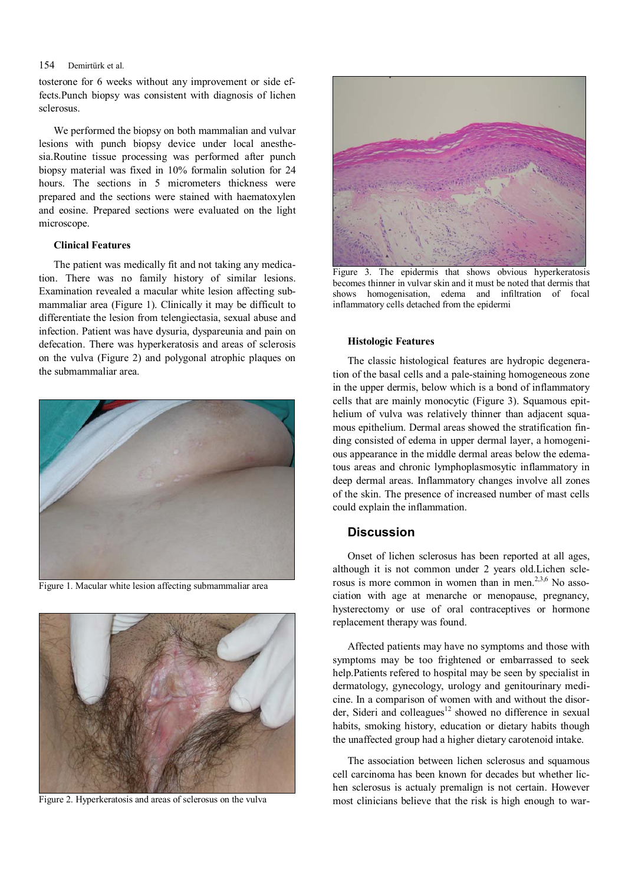## 154 Demirtürk et al.

tosterone for 6 weeks without any improvement or side effects.Punch biopsy was consistent with diagnosis of lichen sclerosus.

We performed the biopsy on both mammalian and vulvar lesions with punch biopsy device under local anesthesia.Routine tissue processing was performed after punch biopsy material was fixed in 10% formalin solution for 24 hours. The sections in 5 micrometers thickness were prepared and the sections were stained with haematoxylen and eosine. Prepared sections were evaluated on the light microscope.

## **Clinical Features**

The patient was medically fit and not taking any medication. There was no family history of similar lesions. Examination revealed a macular white lesion affecting submammaliar area (Figure 1). Clinically it may be difficult to differentiate the lesion from telengiectasia, sexual abuse and infection. Patient was have dysuria, dyspareunia and pain on defecation. There was hyperkeratosis and areas of sclerosis on the vulva (Figure 2) and polygonal atrophic plaques on the submammaliar area.



Figure 1. Macular white lesion affecting submammaliar area



Figure 2. Hyperkeratosis and areas of sclerosus on the vulva



Figure 3. The epidermis that shows obvious hyperkeratosis becomes thinner in vulvar skin and it must be noted that dermis that shows homogenisation, edema and infiltration of focal inflammatory cells detached from the epidermi

#### **Histologic Features**

The classic histological features are hydropic degeneration of the basal cells and a pale-staining homogeneous zone in the upper dermis, below which is a bond of inflammatory cells that are mainly monocytic (Figure 3). Squamous epithelium of vulva was relatively thinner than adjacent squamous epithelium. Dermal areas showed the stratification finding consisted of edema in upper dermal layer, a homogenious appearance in the middle dermal areas below the edematous areas and chronic lymphoplasmosytic inflammatory in deep dermal areas. Inflammatory changes involve all zones of the skin. The presence of increased number of mast cells could explain the inflammation.

# **Discussion**

Onset of lichen sclerosus has been reported at all ages, although it is not common under 2 years old.Lichen sclerosus is more common in women than in men. $2,3,6$  No association with age at menarche or menopause, pregnancy, hysterectomy or use of oral contraceptives or hormone replacement therapy was found.

Affected patients may have no symptoms and those with symptoms may be too frightened or embarrassed to seek help.Patients refered to hospital may be seen by specialist in dermatology, gynecology, urology and genitourinary medicine. In a comparison of women with and without the disorder, Sideri and colleagues $12$  showed no difference in sexual habits, smoking history, education or dietary habits though the unaffected group had a higher dietary carotenoid intake.

The association between lichen sclerosus and squamous cell carcinoma has been known for decades but whether lichen sclerosus is actualy premalign is not certain. However most clinicians believe that the risk is high enough to war-